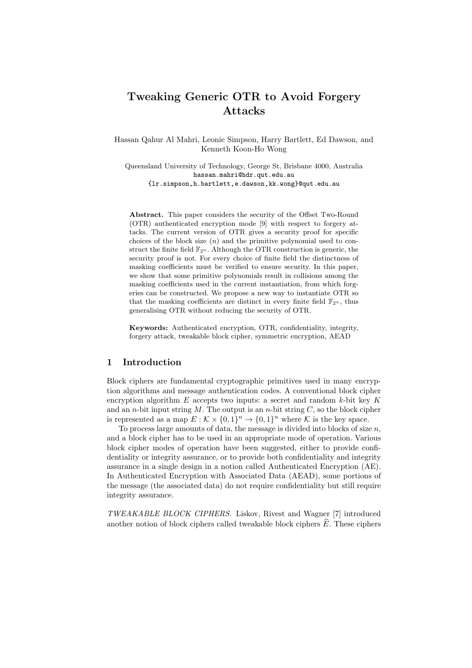# Tweaking Generic OTR to Avoid Forgery Attacks

Hassan Qahur Al Mahri, Leonie Simpson, Harry Bartlett, Ed Dawson, and Kenneth Koon-Ho Wong

Queensland University of Technology, George St, Brisbane 4000, Australia hassan.mahri@hdr.qut.edu.au {lr.simpson,h.bartlett,e.dawson,kk.wong}@qut.edu.au

Abstract. This paper considers the security of the Offset Two-Round (OTR) authenticated encryption mode [9] with respect to forgery attacks. The current version of OTR gives a security proof for specific choices of the block size  $(n)$  and the primitive polynomial used to construct the finite field  $\mathbb{F}_{2^n}$ . Although the OTR construction is generic, the security proof is not. For every choice of finite field the distinctness of masking coefficients must be verified to ensure security. In this paper, we show that some primitive polynomials result in collisions among the masking coefficients used in the current instantiation, from which forgeries can be constructed. We propose a new way to instantiate OTR so that the masking coefficients are distinct in every finite field  $\mathbb{F}_{2^n}$ , thus generalising OTR without reducing the security of OTR.

Keywords: Authenticated encryption, OTR, confidentiality, integrity, forgery attack, tweakable block cipher, symmetric encryption, AEAD

#### 1 Introduction

Block ciphers are fundamental cryptographic primitives used in many encryption algorithms and message authentication codes. A conventional block cipher encryption algorithm  $E$  accepts two inputs: a secret and random  $k$ -bit key  $K$ and an *n*-bit input string M. The output is an *n*-bit string  $C$ , so the block cipher is represented as a map  $E : \mathcal{K} \times \{0,1\}^n \to \{0,1\}^n$  where  $\mathcal{K}$  is the key space.

To process large amounts of data, the message is divided into blocks of size  $n$ , and a block cipher has to be used in an appropriate mode of operation. Various block cipher modes of operation have been suggested, either to provide confidentiality or integrity assurance, or to provide both confidentiality and integrity assurance in a single design in a notion called Authenticated Encryption (AE). In Authenticated Encryption with Associated Data (AEAD), some portions of the message (the associated data) do not require confidentiality but still require integrity assurance.

TWEAKABLE BLOCK CIPHERS. Liskov, Rivest and Wagner [7] introduced another notion of block ciphers called tweakable block ciphers  $\hat{E}$ . These ciphers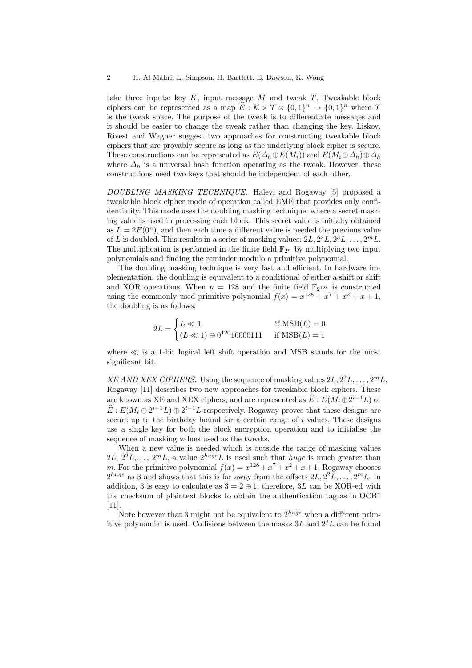take three inputs: key  $K$ , input message  $M$  and tweak  $T$ . Tweakable block ciphers can be represented as a map  $\hat{E} : \mathcal{K} \times \mathcal{T} \times \{0,1\}^n \to \{0,1\}^n$  where  $\mathcal{T}$ is the tweak space. The purpose of the tweak is to differentiate messages and it should be easier to change the tweak rather than changing the key. Liskov, Rivest and Wagner suggest two approaches for constructing tweakable block ciphers that are provably secure as long as the underlying block cipher is secure. These constructions can be represented as  $E(\Delta_h \oplus E(M_i))$  and  $E(M_i \oplus \Delta_h) \oplus \Delta_h$ where  $\Delta_h$  is a universal hash function operating as the tweak. However, these constructions need two keys that should be independent of each other.

DOUBLING MASKING TECHNIQUE. Halevi and Rogaway [5] proposed a tweakable block cipher mode of operation called EME that provides only confidentiality. This mode uses the doubling masking technique, where a secret masking value is used in processing each block. This secret value is initially obtained as  $L = 2E(0^n)$ , and then each time a different value is needed the previous value of L is doubled. This results in a series of masking values:  $2L, 2^2L, 2^3L, \ldots, 2^mL$ . The multiplication is performed in the finite field  $\mathbb{F}_{2^n}$  by multiplying two input polynomials and finding the reminder modulo a primitive polynomial.

The doubling masking technique is very fast and efficient. In hardware implementation, the doubling is equivalent to a conditional of either a shift or shift and XOR operations. When  $n = 128$  and the finite field  $\mathbb{F}_{2^{128}}$  is constructed using the commonly used primitive polynomial  $f(x) = x^{128} + x^7 + x^2 + x + 1$ , the doubling is as follows:

$$
2L = \begin{cases} L \ll 1 & \text{if } \text{MSB}(L) = 0\\ (L \ll 1) \oplus 0^{120} 10000111 & \text{if } \text{MSB}(L) = 1 \end{cases}
$$

where  $\ll$  is a 1-bit logical left shift operation and MSB stands for the most significant bit.

XE AND XEX CIPHERS. Using the sequence of masking values  $2L, 2^2L, \ldots, 2^mL$ , Rogaway [11] describes two new approaches for tweakable block ciphers. These are known as XE and XEX ciphers, and are represented as  $\hat{E}: E(M_i \oplus 2^{i-1}L)$  or  $\widehat{E}: E(M_i \oplus 2^{i-1}L) \oplus 2^{i-1}L$  respectively. Rogaway proves that these designs are secure up to the birthday bound for a certain range of  $i$  values. These designs use a single key for both the block encryption operation and to initialise the sequence of masking values used as the tweaks.

When a new value is needed which is outside the range of masking values 2L,  $2^2L, \ldots, 2^mL$ , a value  $2^{huge}L$  is used such that *huge* is much greater than m. For the primitive polynomial  $f(x) = x^{128} + x^7 + x^2 + x + 1$ , Rogaway chooses  $2^{huge}$  as 3 and shows that this is far away from the offsets  $2L, 2^2L, \ldots, 2^mL$ . In addition, 3 is easy to calculate as  $3 = 2 \oplus 1$ ; therefore, 3L can be XOR-ed with the checksum of plaintext blocks to obtain the authentication tag as in OCB1 [11].

Note however that 3 might not be equivalent to  $2^{huge}$  when a different primitive polynomial is used. Collisions between the masks  $3L$  and  $2^{j}L$  can be found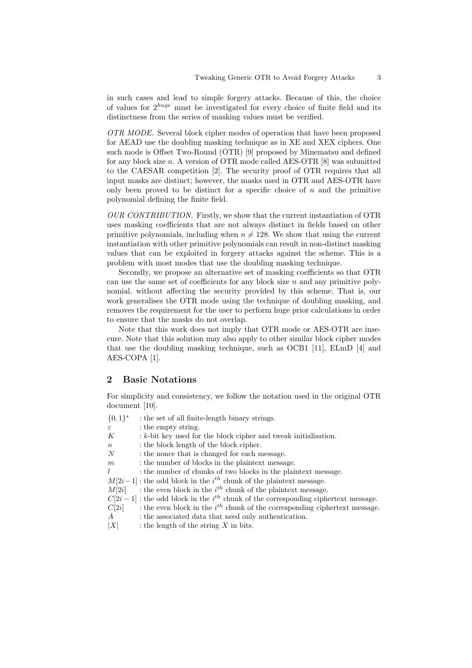in such cases and lead to simple forgery attacks. Because of this, the choice of values for  $2^{huge}$  must be investigated for every choice of finite field and its distinctness from the series of masking values must be verified.

OTR MODE. Several block cipher modes of operation that have been proposed for AEAD use the doubling masking technique as in XE and XEX ciphers. One such mode is Offset Two-Round (OTR) [9] proposed by Minematsu and defined for any block size n. A version of OTR mode called AES-OTR [8] was submitted to the CAESAR competition [2]. The security proof of OTR requires that all input masks are distinct; however, the masks used in OTR and AES-OTR have only been proved to be distinct for a specific choice of  $n$  and the primitive polynomial defining the finite field.

OUR CONTRIBUTION. Firstly, we show that the current instantiation of OTR uses masking coefficients that are not always distinct in fields based on other primitive polynomials, including when  $n \neq 128$ . We show that using the current instantiation with other primitive polynomials can result in non-distinct masking values that can be exploited in forgery attacks against the scheme. This is a problem with most modes that use the doubling masking technique.

Secondly, we propose an alternative set of masking coefficients so that OTR can use the same set of coefficients for any block size  $n$  and any primitive polynomial, without affecting the security provided by this scheme. That is, our work generalises the OTR mode using the technique of doubling masking, and removes the requirement for the user to perform huge prior calculations in order to ensure that the masks do not overlap.

Note that this work does not imply that OTR mode or AES-OTR are insecure. Note that this solution may also apply to other similar block cipher modes that use the doubling masking technique, such as OCB1 [11], ELmD [4] and AES-COPA [1].

## 2 Basic Notations

For simplicity and consistency, we follow the notation used in the original OTR document [10].

| $\{0,1\}^*$      | : the set of all finite-length binary strings.                                                  |
|------------------|-------------------------------------------------------------------------------------------------|
| $\varepsilon$    | : the empty string.                                                                             |
| К                | $: k$ -bit key used for the block cipher and tweak initialisation.                              |
| $\boldsymbol{n}$ | the block length of the block cipher.                                                           |
| $\boldsymbol{N}$ | : the nonce that is changed for each message.                                                   |
| m                | : the number of blocks in the plaintext message.                                                |
| $l_{-}$          | : the number of chunks of two blocks in the plaintext message.                                  |
|                  | $M[2i-1]$ : the odd block in the $ith$ chunk of the plaintext message.                          |
| M[2i]            | : the even block in the $i^{th}$ chunk of the plaintext message.                                |
|                  | $C[2i-1]$ : the odd block in the i <sup>th</sup> chunk of the corresponding ciphertext message. |
| C[2i]            | : the even block in the $i^{th}$ chunk of the corresponding ciphertext message.                 |
| $\boldsymbol{A}$ | : the associated data that need only authentication.                                            |
| X                | : the length of the string $X$ in bits.                                                         |
|                  |                                                                                                 |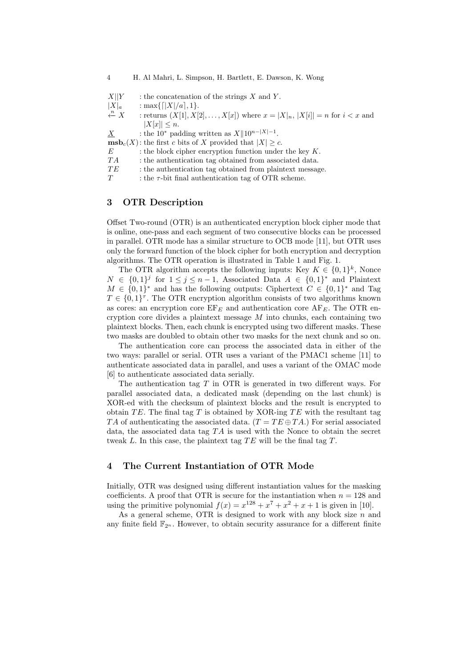$X||Y$  : the concatenation of the strings X and Y.<br> $|X|_a$  : max{[|X|/a], 1}.  $|X|_a$  : max $\{[|X|/a], 1\}.$ <br> $\overset{n}{\leftarrow} X$  : returns  $(X[1], X[$ : returns  $(X[1], X[2], \ldots, X[x])$  where  $x = |X|_n, |X[i]| = n$  for  $i < x$  and  $|X[x]| \leq n$ .  $\overline{X}$  : the 10<sup>\*</sup> padding written as  $X\|10^{n-|X|-1}$ .  $\textbf{msb}_c(X)$ : the first c bits of X provided that  $|X| \geq c$ .<br>  $E$  : the block cipher encryption function under  $E$  : the block cipher encryption function under the key  $K$ .<br>TA : the authentication tag obtained from associated data. : the authentication tag obtained from associated data.  $TE$  : the authentication tag obtained from plaintext message.<br>  $T$  : the  $\tau$ -bit final authentication tag of OTR scheme. : the  $\tau$ -bit final authentication tag of OTR scheme.

## 3 OTR Description

Offset Two-round (OTR) is an authenticated encryption block cipher mode that is online, one-pass and each segment of two consecutive blocks can be processed in parallel. OTR mode has a similar structure to OCB mode [11], but OTR uses only the forward function of the block cipher for both encryption and decryption algorithms. The OTR operation is illustrated in Table 1 and Fig. 1.

The OTR algorithm accepts the following inputs: Key  $K \in \{0,1\}^k$ , Nonce  $N \in \{0,1\}^j$  for  $1 \le j \le n-1$ , Associated Data  $A \in \{0,1\}^*$  and Plaintext  $M \in \{0,1\}^*$  and has the following outputs: Ciphertext  $C \in \{0,1\}^*$  and Tag  $T\in\{0,1\}^{\tau}.$  The OTR encryption algorithm consists of two algorithms known as cores: an encryption core  $EF_E$  and authentication core  $AF_E$ . The OTR encryption core divides a plaintext message  $M$  into chunks, each containing two plaintext blocks. Then, each chunk is encrypted using two different masks. These two masks are doubled to obtain other two masks for the next chunk and so on.

The authentication core can process the associated data in either of the two ways: parallel or serial. OTR uses a variant of the PMAC1 scheme [11] to authenticate associated data in parallel, and uses a variant of the OMAC mode [6] to authenticate associated data serially.

The authentication tag T in OTR is generated in two different ways. For parallel associated data, a dedicated mask (depending on the last chunk) is XOR-ed with the checksum of plaintext blocks and the result is encrypted to obtain  $TE$ . The final tag T is obtained by XOR-ing TE with the resultant tag TA of authenticating the associated data.  $(T = TE \oplus TA)$  For serial associated data, the associated data tag  $TA$  is used with the Nonce to obtain the secret tweak  $L$ . In this case, the plaintext tag  $TE$  will be the final tag  $T$ .

#### 4 The Current Instantiation of OTR Mode

Initially, OTR was designed using different instantiation values for the masking coefficients. A proof that OTR is secure for the instantiation when  $n = 128$  and using the primitive polynomial  $f(x) = x^{128} + x^7 + x^2 + x + 1$  is given in [10].

As a general scheme, OTR is designed to work with any block size  $n$  and any finite field  $\mathbb{F}_{2^n}$ . However, to obtain security assurance for a different finite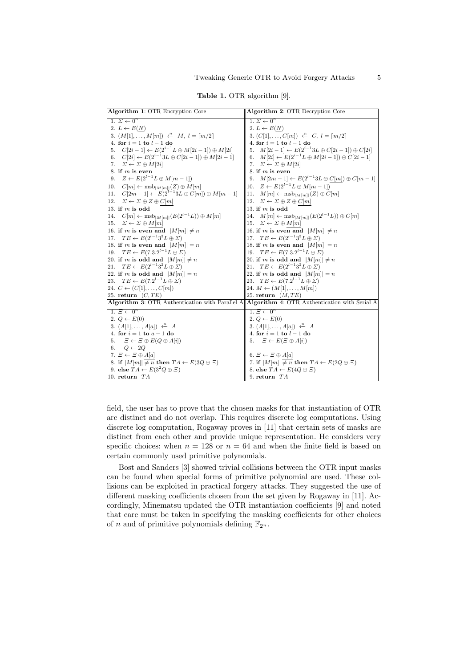| <b>Algorithm 1: OTR Encryption Core</b>                                                       | <b>Algorithm 2: OTR Decryption Core</b>                          |  |  |
|-----------------------------------------------------------------------------------------------|------------------------------------------------------------------|--|--|
| 1. $\Sigma \leftarrow 0^n$                                                                    | $\overline{1,\Sigma\leftarrow 0^n}$                              |  |  |
| 2. $L \leftarrow E(N)$                                                                        | 2. $L \leftarrow E(N)$                                           |  |  |
| 3. $(M[1], \ldots, M[m]) \stackrel{n}{\leftarrow} M, l = [m/2]$                               | 3. $(C[1], \ldots, C[m]) \stackrel{n}{\leftarrow} C, l = [m/2]$  |  |  |
| 4. for $i = 1$ to $l - 1$ do                                                                  | 4. for $i = 1$ to $l - 1$ do                                     |  |  |
| 5. $C[2i-1] \leftarrow E(2^{i-1}L \oplus M[2i-1]) \oplus M[2i]$                               | 5. $M[2i-1] \leftarrow E(2^{i-1}3L \oplus C[2i-1]) \oplus C[2i]$ |  |  |
| 6. $C[2i] \leftarrow E[2^{i-1}3L \oplus C[2i-1]) \oplus M[2i-1]$                              | 6. $M[2i] \leftarrow E(2^{i-1}L \oplus M[2i-1]) \oplus C[2i-1]$  |  |  |
| 7. $\Sigma \leftarrow \Sigma \oplus M[2i]$                                                    | 7. $\Sigma \leftarrow \Sigma \oplus M[2i]$                       |  |  |
| 8. if $m$ is even                                                                             | 8. if $m$ is even                                                |  |  |
| 9. $Z \leftarrow E(2^{l-1}L \oplus M[m-1])$                                                   | 9. $M[2m-1] \leftarrow E(2^{l-1}3L \oplus C[m]) \oplus C[m-1]$   |  |  |
| 10. $C[m] \leftarrow m \text{sb}_{ M[m] }(Z) \oplus M[m]$                                     | 10. $Z \leftarrow E(2^{l-1}L \oplus M[m-1])$                     |  |  |
| 11. $C[2m-1] \leftarrow E(2^{l-1}3L \oplus C[m]) \oplus M[m-1]$                               | 11. $M[m] \leftarrow msb_{ M[m] }(Z) \oplus C[m]$                |  |  |
| 12. $\Sigma \leftarrow \Sigma \oplus Z \oplus C[m]$                                           | 12. $\Sigma \leftarrow \Sigma \oplus Z \oplus C[m]$              |  |  |
| 13. if $m$ is odd                                                                             | 13. if $m$ is odd                                                |  |  |
| 14. $C[m] \leftarrow \text{msb}_{ M[m] }(E(2^{l-1}L)) \oplus M[m]$                            | 14. $M[m] \leftarrow msb_{ M[m] }(E(2^{l-1}L)) \oplus C[m]$      |  |  |
| 15. $\Sigma \leftarrow \Sigma \oplus M[m]$                                                    | 15. $\Sigma \leftarrow \Sigma \oplus M[m]$                       |  |  |
| 16. if m is even and $ M[m]  \neq n$                                                          | 16. if m is even and $ M[m]  \neq n$                             |  |  |
| 17. $TE \leftarrow E(2^{l-1}3^3L \oplus \Sigma)$                                              | 17. $TE \leftarrow E(2^{l-1}3^3L \oplus \Sigma)$                 |  |  |
| 18. if m is even and $ M[m]  = n$                                                             | 18. if m is even and $ M[m]  = n$                                |  |  |
| 19. $TE \leftarrow E(7.3.2^{l-1}L \oplus \Sigma)$                                             | 19. $TE \leftarrow E(7.3.2^{l-1}L \oplus \Sigma)$                |  |  |
| 20. if m is odd and $ M[m]  \neq n$                                                           | 20. if m is odd and $ M[m]  \neq n$                              |  |  |
| 21. $TE \leftarrow E(2^{l-1}3^2L \oplus \Sigma)$                                              | 21. $TE \leftarrow E(2^{l-1}3^2L \oplus \Sigma)$                 |  |  |
| 22. if m is odd and $ M[m]  = n$                                                              | 22. if m is odd and $ M[m]  = n$                                 |  |  |
| 23. $TE \leftarrow E(7.2^{l-1}L \oplus \Sigma)$                                               | 23. $TE \leftarrow E(7.2^{l-1}L \oplus \Sigma)$                  |  |  |
| 24. $C \leftarrow (C[1], \ldots, C[m])$                                                       | 24. $M \leftarrow (M[1], \ldots, M[m])$                          |  |  |
| 25. return $(C, TE)$                                                                          | 25. return $(M, TE)$                                             |  |  |
| Algorithm 3: OTR Authentication with Parallel A Algorithm 4: OTR Authentication with Serial A |                                                                  |  |  |
| $\overline{1}$ . $\overline{z} \leftarrow 0^n$                                                | $1. \mathcal{Z} \leftarrow 0^n$                                  |  |  |
| 2. $Q \leftarrow E(0)$                                                                        | 2. $Q \leftarrow E(0)$                                           |  |  |
| 3. $(A[1], \ldots, A[a]) \leftarrow A$                                                        | 3. $(A[1], \ldots, A[a]) \leftarrow A$                           |  |  |
| 4. for $i = 1$ to $a - 1$ do                                                                  | 4. for $i = 1$ to $l - 1$ do                                     |  |  |
| 5. $\Xi \leftarrow \Xi \oplus E(Q \oplus A[i])$                                               | 5. $\Xi \leftarrow E(\Xi \oplus A[i])$                           |  |  |
| 6. $Q \leftarrow 2Q$                                                                          |                                                                  |  |  |
| 7. $\Xi \leftarrow \Xi \oplus A[a]$                                                           | 6. $\Xi \leftarrow \Xi \oplus A[a]$                              |  |  |
| 8. if $ M[m]  \neq n$ then $TA \leftarrow E(3Q \oplus \Xi)$                                   | 7. if $ M[m]  \neq n$ then $TA \leftarrow E(2Q \oplus \Xi)$      |  |  |
| 9. else $TA \leftarrow E(3^2Q \oplus \Xi)$                                                    | 8. else $TA \leftarrow E(4Q \oplus \Xi)$                         |  |  |
| 10. return $TA$                                                                               | 9. return $TA$                                                   |  |  |

Table 1. OTR algorithm [9].

field, the user has to prove that the chosen masks for that instantiation of OTR are distinct and do not overlap. This requires discrete log computations. Using discrete log computation, Rogaway proves in [11] that certain sets of masks are distinct from each other and provide unique representation. He considers very specific choices: when  $n = 128$  or  $n = 64$  and when the finite field is based on certain commonly used primitive polynomials.

Bost and Sanders [3] showed trivial collisions between the OTR input masks can be found when special forms of primitive polynomial are used. These collisions can be exploited in practical forgery attacks. They suggested the use of different masking coefficients chosen from the set given by Rogaway in [11]. Accordingly, Minematsu updated the OTR instantiation coefficients [9] and noted that care must be taken in specifying the masking coefficients for other choices of *n* and of primitive polynomials defining  $\mathbb{F}_{2^n}$ .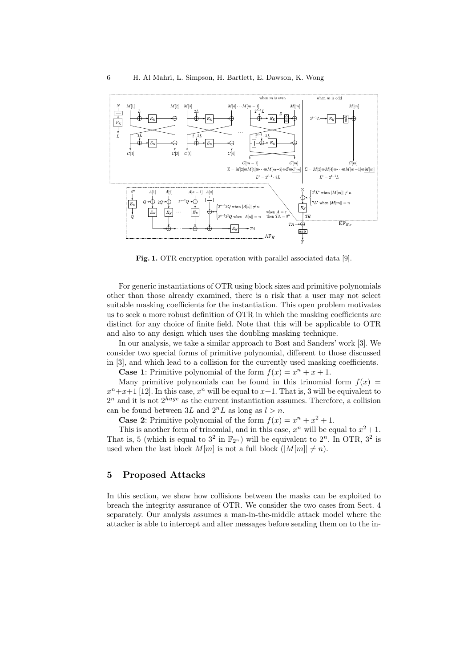

Fig. 1 OTR encryption operation with parallel associated data  $[0]$ Fig. 1. OTR encryption operation with parallel associated data [9].

For generic instantiations of OTR using block sizes and primitive polynomials other than those already examined, there is a risk that a user may not select The includes and the includes and the parameters, there is a redundant since  $\frac{1}{2}$  for the parameters suitable masking coefficients for the instantiation. This open problem motivates suitable masking coefficients for the instantiation. This open problem motivates<br>us to seek a more robust definition of OTR in which the masking coefficients are distinct for any choice of finite field. Note that this will be applicable to OTR and also to any design which uses the doubling masking technique.

 $\Gamma_{\text{max}}$  and  $\Gamma_{\text{max}}$  is good that the length of nonce can be changed without  $\Gamma_{\text{max}}$  renewal,  $\Gamma_{\text{max}}$ In our analysis, we take a similar approach to Bost and Sanders' work [3]. We consider two special forms of primitive polynomial, different to those discussed in [3], and which lead to a collision for the currently used masking coefficients.

**Case 1**: Primitive polynomial of the form  $f(x) = x^n + x + 1$ .

Many primitive polynomials can be found in this trinomial form  $f(x)$  =  $x^{n}+x+1$  [12]. In this case,  $x^{n}$  will be equal to  $x+1$ . That is, 3 will be equivalent to  $2^n$  and it is not  $2^{huge}$  as the current instantiation assumes. Therefore, a collision can be found between  $3L$  and  $2^nL$  as long as  $l > n$ .

**Case 2:** Primitive polynomial of the form  $f(x) = x^n + x^2 + 1$ .

This is another form of trinomial, and in this case,  $x^n$  will be equal to  $x^2 + 1$ . That is, 5 (which is equal to  $3^2$  in  $\mathbb{F}_{2^n}$ ) will be equivalent to  $2^n$ . In OTR,  $3^2$  is used when the last block  $M[m]$  is not a full block  $(|M[m]| \neq n)$ .

#### 5 Proposed Attacks  $\mathbf{F}$

separately. Our analysis assumes a man-in-the-middle attack model where the In this section, we show how collisions between the masks can be exploited to breach the integrity assurance of OTR. We consider the two cases from Sect. 4 attacker is able to intercept and alter messages before sending them on to the in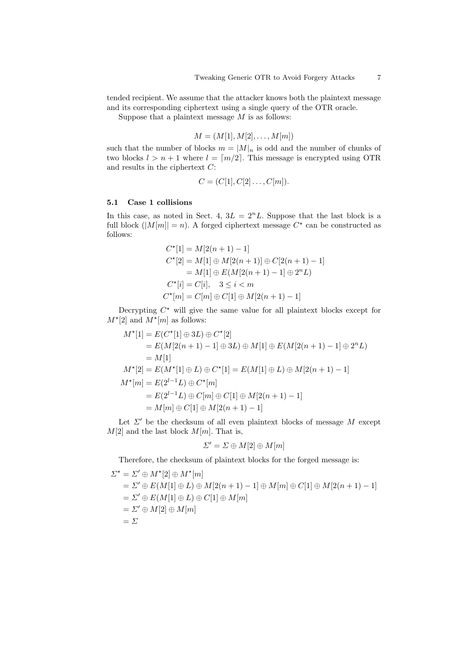tended recipient. We assume that the attacker knows both the plaintext message and its corresponding ciphertext using a single query of the OTR oracle.

Suppose that a plaintext message  $M$  is as follows:

$$
M = (M[1], M[2], \ldots, M[m])
$$

such that the number of blocks  $m = |M|_n$  is odd and the number of chunks of two blocks  $l > n + 1$  where  $l = \lceil m/2 \rceil$ . This message is encrypted using OTR and results in the ciphertext C:

$$
C = (C[1], C[2], \ldots, C[m]).
$$

#### 5.1 Case 1 collisions

In this case, as noted in Sect. 4,  $3L = 2<sup>n</sup>L$ . Suppose that the last block is a full block  $(|M[m]| = n)$ . A forged ciphertext message  $C^*$  can be constructed as follows:

$$
C^*[1] = M[2(n+1) - 1]
$$
  
\n
$$
C^*[2] = M[1] \oplus M[2(n+1)] \oplus C[2(n+1) - 1]
$$
  
\n
$$
= M[1] \oplus E(M[2(n+1) - 1] \oplus 2^n L)
$$
  
\n
$$
C^*[i] = C[i], \quad 3 \le i < m
$$
  
\n
$$
C^*[m] = C[m] \oplus C[1] \oplus M[2(n+1) - 1]
$$

Decrypting  $C^*$  will give the same value for all plaintext blocks except for  $M^{\star}[2]$  and  $M^{\star}[m]$  as follows:

$$
M^*[1] = E(C^*[1] \oplus 3L) \oplus C^*[2]
$$
  
=  $E(M[2(n + 1) - 1] \oplus 3L) \oplus M[1] \oplus E(M[2(n + 1) - 1] \oplus 2^n L)$   
=  $M[1]$   

$$
M^*[2] = E(M^*[1] \oplus L) \oplus C^*[1] = E(M[1] \oplus L) \oplus M[2(n + 1) - 1]
$$
  

$$
M^*[m] = E(2^{l-1}L) \oplus C^*[m]
$$
  
=  $E(2^{l-1}L) \oplus C[m] \oplus C[1] \oplus M[2(n + 1) - 1]$   
=  $M[m] \oplus C[1] \oplus M[2(n + 1) - 1]$ 

Let  $\Sigma'$  be the checksum of all even plaintext blocks of message M except  $M[2]$  and the last block  $M[m]$ . That is,

$$
\Sigma' = \Sigma \oplus M[2] \oplus M[m]
$$

Therefore, the checksum of plaintext blocks for the forged message is:

$$
\Sigma^* = \Sigma' \oplus M^*[2] \oplus M^*[m]
$$
  
=  $\Sigma' \oplus E(M[1] \oplus L) \oplus M[2(n+1) - 1] \oplus M[m] \oplus C[1] \oplus M[2(n+1) - 1]$   
=  $\Sigma' \oplus E(M[1] \oplus L) \oplus C[1] \oplus M[m]$   
=  $\Sigma' \oplus M[2] \oplus M[m]$   
=  $\Sigma$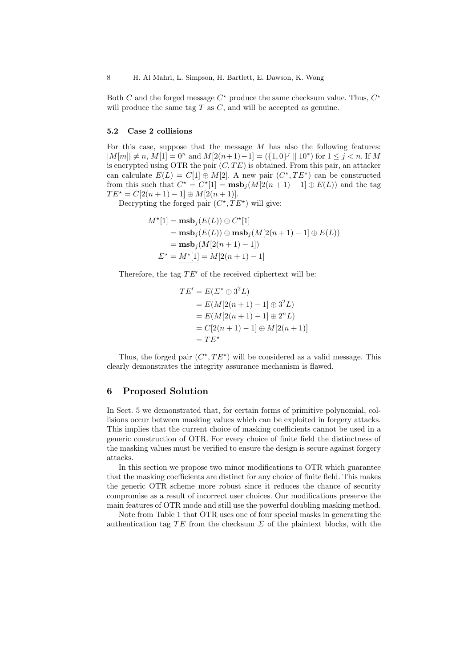Both C and the forged message  $C^*$  produce the same checksum value. Thus,  $C^*$ will produce the same tag  $T$  as  $C$ , and will be accepted as genuine.

#### 5.2 Case 2 collisions

For this case, suppose that the message  $M$  has also the following features:  $|M[m]| \neq n, M[1] = 0<sup>n</sup>$  and  $M[2(n+1)-1] = (\{1, 0\}<sup>j</sup> \parallel 10<sup>*</sup>)$  for  $1 ≤ j < n$ . If M is encrypted using OTR the pair  $(C, TE)$  is obtained. From this pair, an attacker can calculate  $E(L) = C[1] \oplus M[2]$ . A new pair  $(C^*, TE^*)$  can be constructed from this such that  $C^* = C^*[1] = \text{msb}_j(M[2(n+1)-1] \oplus E(L))$  and the tag  $TE^* = C[2(n+1)-1] \oplus M[2(n+1)].$ 

Decrypting the forged pair  $(C^*, TE^*)$  will give:

$$
M^{\star}[1] = \textbf{msb}_{j}(E(L)) \oplus C^{\star}[1]
$$
  
=  $\textbf{msb}_{j}(E(L)) \oplus \textbf{msb}_{j}(M[2(n+1) - 1] \oplus E(L))$   
=  $\textbf{msb}_{j}(M[2(n+1) - 1])$   

$$
\Sigma^{\star} = \underline{M^{\star}[1]} = M[2(n+1) - 1]
$$

Therefore, the tag  $TE'$  of the received ciphertext will be:

$$
TE' = E(\Sigma^* \oplus 3^2 L)
$$
  
=  $E(M[2(n + 1) - 1] \oplus 3^2 L)$   
=  $E(M[2(n + 1) - 1] \oplus 2^n L)$   
=  $C[2(n + 1) - 1] \oplus M[2(n + 1)]$   
=  $TE^*$ 

Thus, the forged pair  $(C^*, TE^*)$  will be considered as a valid message. This clearly demonstrates the integrity assurance mechanism is flawed.

#### 6 Proposed Solution

In Sect. 5 we demonstrated that, for certain forms of primitive polynomial, collisions occur between masking values which can be exploited in forgery attacks. This implies that the current choice of masking coefficients cannot be used in a generic construction of OTR. For every choice of finite field the distinctness of the masking values must be verified to ensure the design is secure against forgery attacks.

In this section we propose two minor modifications to OTR which guarantee that the masking coefficients are distinct for any choice of finite field. This makes the generic OTR scheme more robust since it reduces the chance of security compromise as a result of incorrect user choices. Our modifications preserve the main features of OTR mode and still use the powerful doubling masking method.

Note from Table 1 that OTR uses one of four special masks in generating the authentication tag TE from the checksum  $\Sigma$  of the plaintext blocks, with the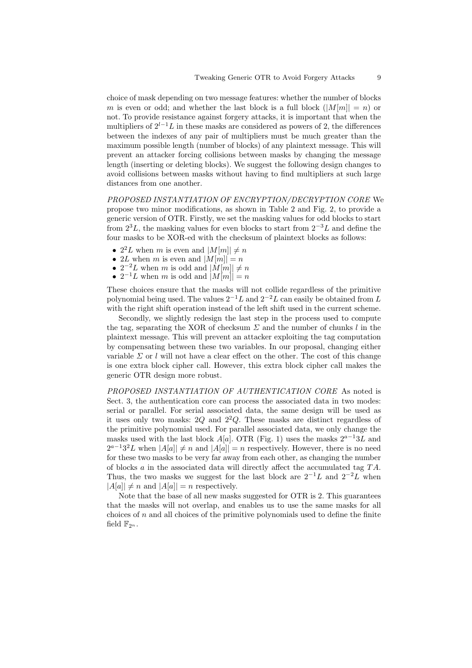choice of mask depending on two message features: whether the number of blocks m is even or odd; and whether the last block is a full block  $(|M[m]| = n)$  or not. To provide resistance against forgery attacks, it is important that when the multipliers of  $2^{l-1}L$  in these masks are considered as powers of 2, the differences between the indexes of any pair of multipliers must be much greater than the maximum possible length (number of blocks) of any plaintext message. This will prevent an attacker forcing collisions between masks by changing the message length (inserting or deleting blocks). We suggest the following design changes to avoid collisions between masks without having to find multipliers at such large distances from one another.

PROPOSED INSTANTIATION OF ENCRYPTION/DECRYPTION CORE We propose two minor modifications, as shown in Table 2 and Fig. 2, to provide a generic version of OTR. Firstly, we set the masking values for odd blocks to start from  $2^3L$ , the masking values for even blocks to start from  $2^{-3}L$  and define the four masks to be XOR-ed with the checksum of plaintext blocks as follows:

- $2^2L$  when m is even and  $|M[m]| \neq n$
- 2L when m is even and  $|M[m]| = n$ <br>•  $2^{-2}L$  when m is odd and  $|M[m]| \neq$
- $2^{-2}L$  when m is odd and  $|M[m]| \neq n$
- $2^{-1}L$  when m is odd and  $|M[m]| = n$

These choices ensure that the masks will not collide regardless of the primitive polynomial being used. The values  $2^{-1}L$  and  $2^{-2}L$  can easily be obtained from L with the right shift operation instead of the left shift used in the current scheme.

Secondly, we slightly redesign the last step in the process used to compute the tag, separating the XOR of checksum  $\Sigma$  and the number of chunks l in the plaintext message. This will prevent an attacker exploiting the tag computation by compensating between these two variables. In our proposal, changing either variable  $\Sigma$  or l will not have a clear effect on the other. The cost of this change is one extra block cipher call. However, this extra block cipher call makes the generic OTR design more robust.

PROPOSED INSTANTIATION OF AUTHENTICATION CORE As noted is Sect. 3, the authentication core can process the associated data in two modes: serial or parallel. For serial associated data, the same design will be used as it uses only two masks:  $2Q$  and  $2^2Q$ . These masks are distinct regardless of the primitive polynomial used. For parallel associated data, we only change the masks used with the last block A[a]. OTR (Fig. 1) uses the masks  $2^{a-1}3L$  and  $2^{a-1}3^2L$  when  $|A[a]| \neq n$  and  $|A[a]| = n$  respectively. However, there is no need for these two masks to be very far away from each other, as changing the number of blocks  $a$  in the associated data will directly affect the accumulated tag  $TA$ . Thus, the two masks we suggest for the last block are  $2^{-1}L$  and  $2^{-2}L$  when  $|A[a]| \neq n$  and  $|A[a]| = n$  respectively.

Note that the base of all new masks suggested for OTR is 2. This guarantees that the masks will not overlap, and enables us to use the same masks for all choices of  $n$  and all choices of the primitive polynomials used to define the finite field  $\mathbb{F}_{2^n}$ .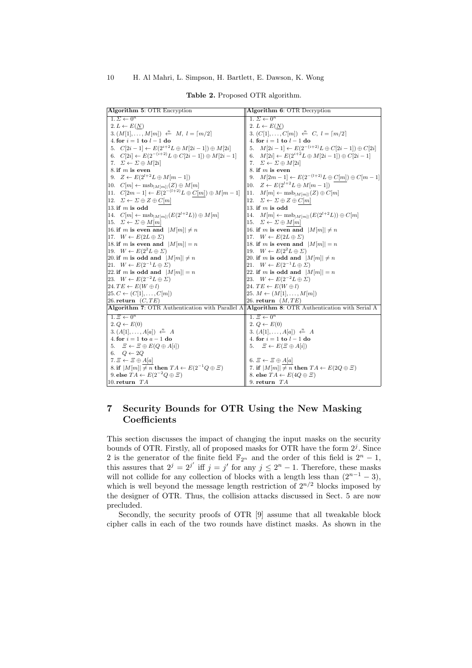#### 10 H. Al Mahri, L. Simpson, H. Bartlett, E. Dawson, K. Wong

| Algorithm 5: OTR Encryption                                                                   | Algorithm 6: OTR Decryption                                        |  |  |
|-----------------------------------------------------------------------------------------------|--------------------------------------------------------------------|--|--|
| $1, \Sigma \leftarrow 0^n$                                                                    | 1. $\Sigma \leftarrow 0^n$                                         |  |  |
| $2. L \leftarrow E(\underline{N})$                                                            | 2. $L \leftarrow E(\underline{N})$                                 |  |  |
| 3. $(M[1], \ldots, M[m]) \leftarrow M, l = [m/2]$                                             | 3. $(C[1], \ldots, C[m]) \stackrel{n}{\leftarrow} C, l = [m/2]$    |  |  |
| 4. for $i = 1$ to $l - 1$ do                                                                  | 4. for $i = 1$ to $l - 1$ do                                       |  |  |
| 5. $C[2i-1] \leftarrow E(2^{i+2}L \oplus M[2i-1]) \oplus M[2i]$                               | 5. $M[2i-1] \leftarrow E(2^{-(i+2)}L \oplus C[2i-1]) \oplus C[2i]$ |  |  |
| 6. $C[2i] \leftarrow E(2^{-(i+2)}L \oplus C[2i-1]) \oplus M[2i-1]$                            | 6. $M[2i] \leftarrow E(2^{i+2}L \oplus M[2i-1]) \oplus C[2i-1]$    |  |  |
| 7. $\Sigma \leftarrow \Sigma \oplus M[2i]$                                                    | 7. $\Sigma \leftarrow \Sigma \oplus M[2i]$                         |  |  |
| 8. if $m$ is even                                                                             | 8. if $m$ is even                                                  |  |  |
| 9. $Z \leftarrow E(2^{l+2}L \oplus M[m-1])$                                                   | 9. $M[2m-1] \leftarrow E(2^{-(l+2)}L \oplus C[m]) \oplus C[m-1]$   |  |  |
| 10. $C[m] \leftarrow m s b_{ M[m] }(Z) \oplus M[m]$                                           | 10. $Z \leftarrow E(2^{l+2}L \oplus M[m-1])$                       |  |  |
| 11. $C[2m-1] \leftarrow E(2^{-(l+2)}L \oplus C[m]) \oplus M[m-1]$                             | 11. $M[m] \leftarrow msb_{ M[m] }(Z) \oplus C[m]$                  |  |  |
| 12. $\Sigma \leftarrow \Sigma \oplus Z \oplus C[m]$                                           | 12. $\Sigma \leftarrow \Sigma \oplus Z \oplus C[m]$                |  |  |
| 13. if $m$ is odd                                                                             | 13. if $m$ is odd                                                  |  |  |
| 14. $C[m] \leftarrow msb_{ M[m] }(E(2^{l+2}L)) \oplus M[m]$                                   | 14. $M[m] \leftarrow \text{msb}_{ M[m] }(E(2^{l+2}L)) \oplus C[m]$ |  |  |
| 15. $\Sigma \leftarrow \Sigma \oplus M[m]$                                                    | 15. $\Sigma \leftarrow \Sigma \oplus M[m]$                         |  |  |
| 16. if m is even and $ M[m]  \neq n$                                                          | 16. if m is even and $ M[m]  \neq n$                               |  |  |
| 17. $W \leftarrow E(2L \oplus \Sigma)$                                                        | 17. $W \leftarrow E(2L \oplus \Sigma)$                             |  |  |
| 18. if m is even and $ M[m]  = n$                                                             | 18. if m is even and $ M[m]  = n$                                  |  |  |
| 19. $W \leftarrow E(2^2L \oplus \Sigma)$                                                      | 19. $W \leftarrow E(2^2L \oplus \Sigma)$                           |  |  |
| 20. if m is odd and $ M[m]  \neq n$                                                           | 20. if m is odd and $ M[m]  \neq n$                                |  |  |
| 21. $W \leftarrow E(2^{-1}L \oplus \Sigma)$                                                   | 21. $W \leftarrow E(2^{-1}L \oplus \Sigma)$                        |  |  |
| 22. if m is odd and $ M[m]  = n$                                                              | 22. if m is odd and $ M[m]  = n$                                   |  |  |
| 23. $W \leftarrow E(2^{-2}L \oplus \Sigma)$                                                   | 23. $W \leftarrow E(2^{-2}L \oplus \Sigma)$                        |  |  |
| 24. $TE \leftarrow E(W \oplus l)$                                                             | 24. $TE \leftarrow E(W \oplus l)$                                  |  |  |
| $25. C \leftarrow (C[1], \ldots, C[m])$                                                       | 25. $M \leftarrow (M[1], \ldots, M[m])$                            |  |  |
| 26. return $(C, TE)$                                                                          | 26. return $(M, TE)$                                               |  |  |
| Algorithm 7: OTR Authentication with Parallel A Algorithm 8: OTR Authentication with Serial A |                                                                    |  |  |
| $E \leftarrow 0^n$                                                                            | $1. \n\Xi \leftarrow 0^n$                                          |  |  |
| $2 \cdot Q \leftarrow E(0)$                                                                   | 2. $Q \leftarrow E(0)$                                             |  |  |
| 3. $(A[1], \ldots, A[a]) \xleftarrow{n} A$                                                    | 3. $(A[1], \ldots, A[a]) \leftarrow A$                             |  |  |
| 4. for $i = 1$ to $a - 1$ do                                                                  | 4. for $i = 1$ to $l - 1$ do                                       |  |  |
| 5. $\Xi \leftarrow \Xi \oplus E(Q \oplus A[i])$                                               | 5. $\Xi \leftarrow E(\Xi \oplus A[i])$                             |  |  |
| 6. $Q \leftarrow 2Q$                                                                          |                                                                    |  |  |
| $7. \mathcal{Z} \leftarrow \mathcal{Z} \oplus A[a]$                                           | 6. $\Xi \leftarrow \Xi \oplus A[a]$                                |  |  |
| 8. if $ M[m]  \neq n$ then $TA \leftarrow E(2^{-1}Q \oplus E)$                                | 7. if $ M[m]  \neq n$ then $TA \leftarrow E(2Q \oplus \Xi)$        |  |  |
| 9. else $TA \leftarrow E(2^{-2}Q \oplus \Xi)$                                                 | 8. else $TA \leftarrow E(4Q \oplus \Xi)$                           |  |  |
| 10. return $TA$                                                                               | 9. return $TA$                                                     |  |  |

#### Table 2. Proposed OTR algorithm.

# 7 Security Bounds for OTR Using the New Masking Coefficients

This section discusses the impact of changing the input masks on the security bounds of OTR. Firstly, all of proposed masks for OTR have the form  $2<sup>j</sup>$ . Since 2 is the generator of the finite field  $\mathbb{F}_{2^n}$  and the order of this field is  $2^n - 1$ , this assures that  $2^j = 2^{j'}$  iff  $j = j'$  for any  $j \leq 2^n - 1$ . Therefore, these masks will not collide for any collection of blocks with a length less than  $(2^{n-1}-3)$ , which is well beyond the message length restriction of  $2^{n/2}$  blocks imposed by the designer of OTR. Thus, the collision attacks discussed in Sect. 5 are now precluded.

Secondly, the security proofs of OTR [9] assume that all tweakable block cipher calls in each of the two rounds have distinct masks. As shown in the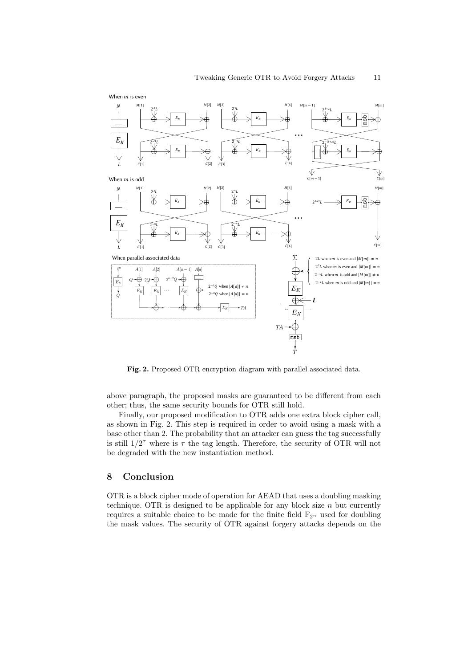

Fig. 2. Proposed OTR encryption diagram with parallel associated data.

above paragraph, the proposed masks are guaranteed to be different from each other; thus, the same security bounds for OTR still hold.

Finally, our proposed modification to OTR adds one extra block cipher call, as shown in Fig. 2. This step is required in order to avoid using a mask with a base other than 2. The probability that an attacker can guess the tag successfully is still  $1/2^{\tau}$  where is  $\tau$  the tag length. Therefore, the security of OTR will not be degraded with the new instantiation method.

## 8 Conclusion

OTR is a block cipher mode of operation for AEAD that uses a doubling masking technique. OTR is designed to be applicable for any block size  $n$  but currently requires a suitable choice to be made for the finite field  $\mathbb{F}_{2^n}$  used for doubling the mask values. The security of OTR against forgery attacks depends on the